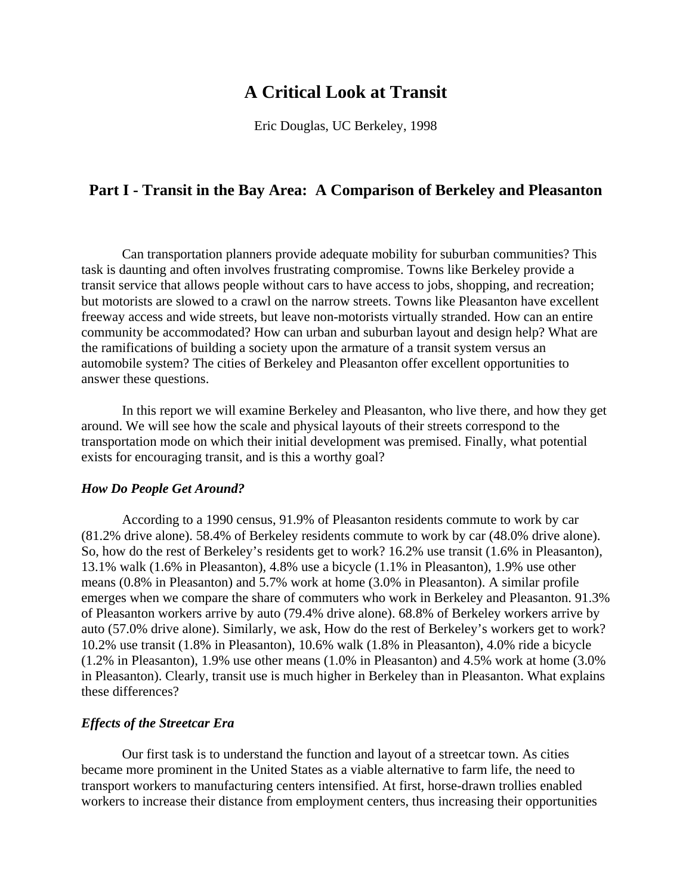# **A Critical Look at Transit**

Eric Douglas, UC Berkeley, 1998

# **Part I - Transit in the Bay Area: A Comparison of Berkeley and Pleasanton**

 Can transportation planners provide adequate mobility for suburban communities? This task is daunting and often involves frustrating compromise. Towns like Berkeley provide a transit service that allows people without cars to have access to jobs, shopping, and recreation; but motorists are slowed to a crawl on the narrow streets. Towns like Pleasanton have excellent freeway access and wide streets, but leave non-motorists virtually stranded. How can an entire community be accommodated? How can urban and suburban layout and design help? What are the ramifications of building a society upon the armature of a transit system versus an automobile system? The cities of Berkeley and Pleasanton offer excellent opportunities to answer these questions.

 In this report we will examine Berkeley and Pleasanton, who live there, and how they get around. We will see how the scale and physical layouts of their streets correspond to the transportation mode on which their initial development was premised. Finally, what potential exists for encouraging transit, and is this a worthy goal?

#### *How Do People Get Around?*

 According to a 1990 census, 91.9% of Pleasanton residents commute to work by car (81.2% drive alone). 58.4% of Berkeley residents commute to work by car (48.0% drive alone). So, how do the rest of Berkeley's residents get to work? 16.2% use transit (1.6% in Pleasanton), 13.1% walk (1.6% in Pleasanton), 4.8% use a bicycle (1.1% in Pleasanton), 1.9% use other means (0.8% in Pleasanton) and 5.7% work at home (3.0% in Pleasanton). A similar profile emerges when we compare the share of commuters who work in Berkeley and Pleasanton. 91.3% of Pleasanton workers arrive by auto (79.4% drive alone). 68.8% of Berkeley workers arrive by auto (57.0% drive alone). Similarly, we ask, How do the rest of Berkeley's workers get to work? 10.2% use transit (1.8% in Pleasanton), 10.6% walk (1.8% in Pleasanton), 4.0% ride a bicycle (1.2% in Pleasanton), 1.9% use other means (1.0% in Pleasanton) and 4.5% work at home (3.0% in Pleasanton). Clearly, transit use is much higher in Berkeley than in Pleasanton. What explains these differences?

## *Effects of the Streetcar Era*

 Our first task is to understand the function and layout of a streetcar town. As cities became more prominent in the United States as a viable alternative to farm life, the need to transport workers to manufacturing centers intensified. At first, horse-drawn trollies enabled workers to increase their distance from employment centers, thus increasing their opportunities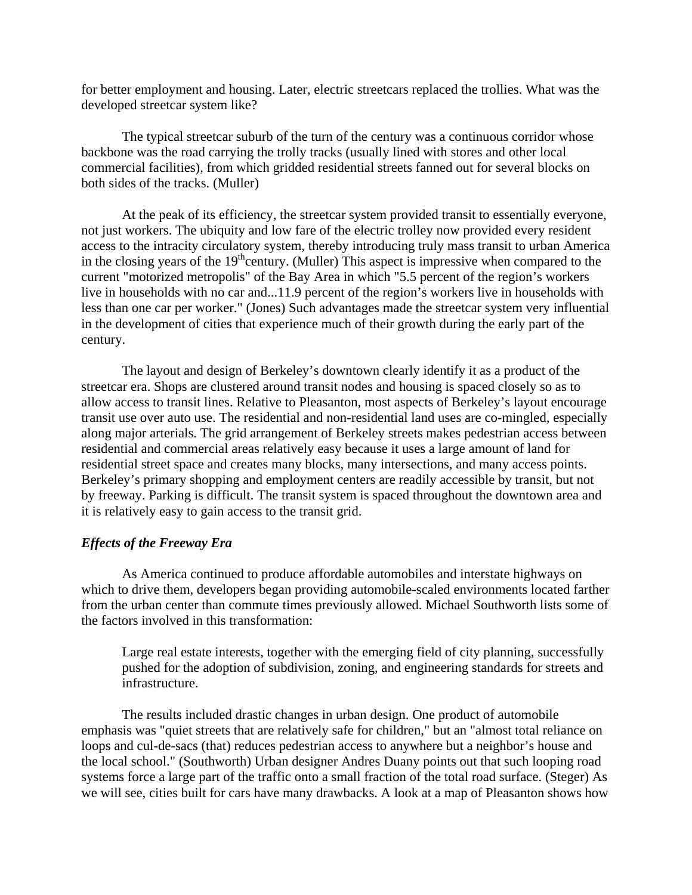for better employment and housing. Later, electric streetcars replaced the trollies. What was the developed streetcar system like?

 The typical streetcar suburb of the turn of the century was a continuous corridor whose backbone was the road carrying the trolly tracks (usually lined with stores and other local commercial facilities), from which gridded residential streets fanned out for several blocks on both sides of the tracks. (Muller)

 At the peak of its efficiency, the streetcar system provided transit to essentially everyone, not just workers. The ubiquity and low fare of the electric trolley now provided every resident access to the intracity circulatory system, thereby introducing truly mass transit to urban America in the closing years of the  $19<sup>th</sup>$ century. (Muller) This aspect is impressive when compared to the current "motorized metropolis" of the Bay Area in which "5.5 percent of the region's workers live in households with no car and...11.9 percent of the region's workers live in households with less than one car per worker." (Jones) Such advantages made the streetcar system very influential in the development of cities that experience much of their growth during the early part of the century.

 The layout and design of Berkeley's downtown clearly identify it as a product of the streetcar era. Shops are clustered around transit nodes and housing is spaced closely so as to allow access to transit lines. Relative to Pleasanton, most aspects of Berkeley's layout encourage transit use over auto use. The residential and non-residential land uses are co-mingled, especially along major arterials. The grid arrangement of Berkeley streets makes pedestrian access between residential and commercial areas relatively easy because it uses a large amount of land for residential street space and creates many blocks, many intersections, and many access points. Berkeley's primary shopping and employment centers are readily accessible by transit, but not by freeway. Parking is difficult. The transit system is spaced throughout the downtown area and it is relatively easy to gain access to the transit grid.

# *Effects of the Freeway Era*

 As America continued to produce affordable automobiles and interstate highways on which to drive them, developers began providing automobile-scaled environments located farther from the urban center than commute times previously allowed. Michael Southworth lists some of the factors involved in this transformation:

Large real estate interests, together with the emerging field of city planning, successfully pushed for the adoption of subdivision, zoning, and engineering standards for streets and infrastructure.

 The results included drastic changes in urban design. One product of automobile emphasis was "quiet streets that are relatively safe for children," but an "almost total reliance on loops and cul-de-sacs (that) reduces pedestrian access to anywhere but a neighbor's house and the local school." (Southworth) Urban designer Andres Duany points out that such looping road systems force a large part of the traffic onto a small fraction of the total road surface. (Steger) As we will see, cities built for cars have many drawbacks. A look at a map of Pleasanton shows how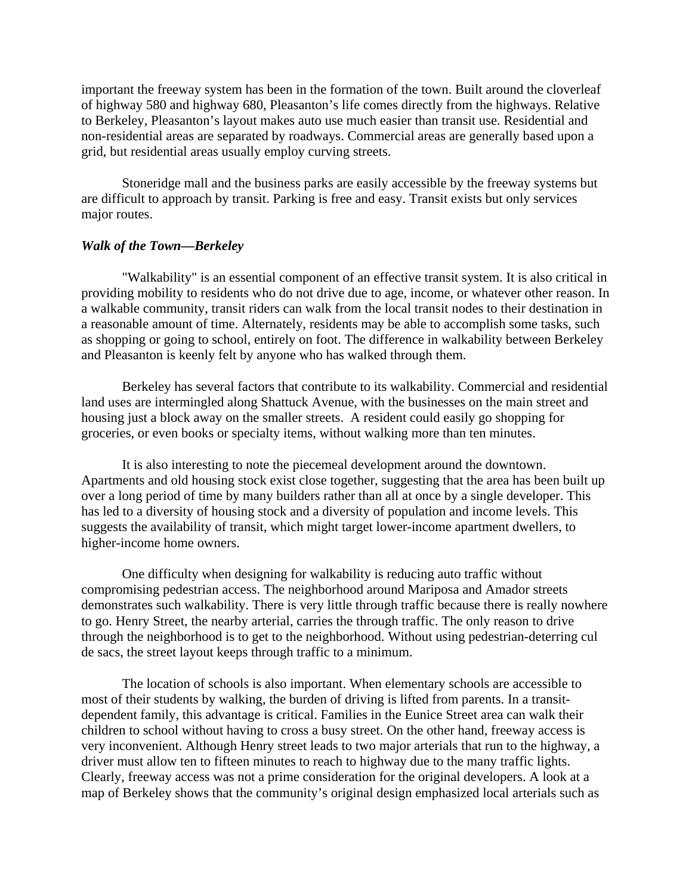important the freeway system has been in the formation of the town. Built around the cloverleaf of highway 580 and highway 680, Pleasanton's life comes directly from the highways. Relative to Berkeley, Pleasanton's layout makes auto use much easier than transit use. Residential and non-residential areas are separated by roadways. Commercial areas are generally based upon a grid, but residential areas usually employ curving streets.

 Stoneridge mall and the business parks are easily accessible by the freeway systems but are difficult to approach by transit. Parking is free and easy. Transit exists but only services major routes.

# *Walk of the Town—Berkeley*

 "Walkability" is an essential component of an effective transit system. It is also critical in providing mobility to residents who do not drive due to age, income, or whatever other reason. In a walkable community, transit riders can walk from the local transit nodes to their destination in a reasonable amount of time. Alternately, residents may be able to accomplish some tasks, such as shopping or going to school, entirely on foot. The difference in walkability between Berkeley and Pleasanton is keenly felt by anyone who has walked through them.

 Berkeley has several factors that contribute to its walkability. Commercial and residential land uses are intermingled along Shattuck Avenue, with the businesses on the main street and housing just a block away on the smaller streets. A resident could easily go shopping for groceries, or even books or specialty items, without walking more than ten minutes.

 It is also interesting to note the piecemeal development around the downtown. Apartments and old housing stock exist close together, suggesting that the area has been built up over a long period of time by many builders rather than all at once by a single developer. This has led to a diversity of housing stock and a diversity of population and income levels. This suggests the availability of transit, which might target lower-income apartment dwellers, to higher-income home owners.

 One difficulty when designing for walkability is reducing auto traffic without compromising pedestrian access. The neighborhood around Mariposa and Amador streets demonstrates such walkability. There is very little through traffic because there is really nowhere to go. Henry Street, the nearby arterial, carries the through traffic. The only reason to drive through the neighborhood is to get to the neighborhood. Without using pedestrian-deterring cul de sacs, the street layout keeps through traffic to a minimum.

 The location of schools is also important. When elementary schools are accessible to most of their students by walking, the burden of driving is lifted from parents. In a transitdependent family, this advantage is critical. Families in the Eunice Street area can walk their children to school without having to cross a busy street. On the other hand, freeway access is very inconvenient. Although Henry street leads to two major arterials that run to the highway, a driver must allow ten to fifteen minutes to reach to highway due to the many traffic lights. Clearly, freeway access was not a prime consideration for the original developers. A look at a map of Berkeley shows that the community's original design emphasized local arterials such as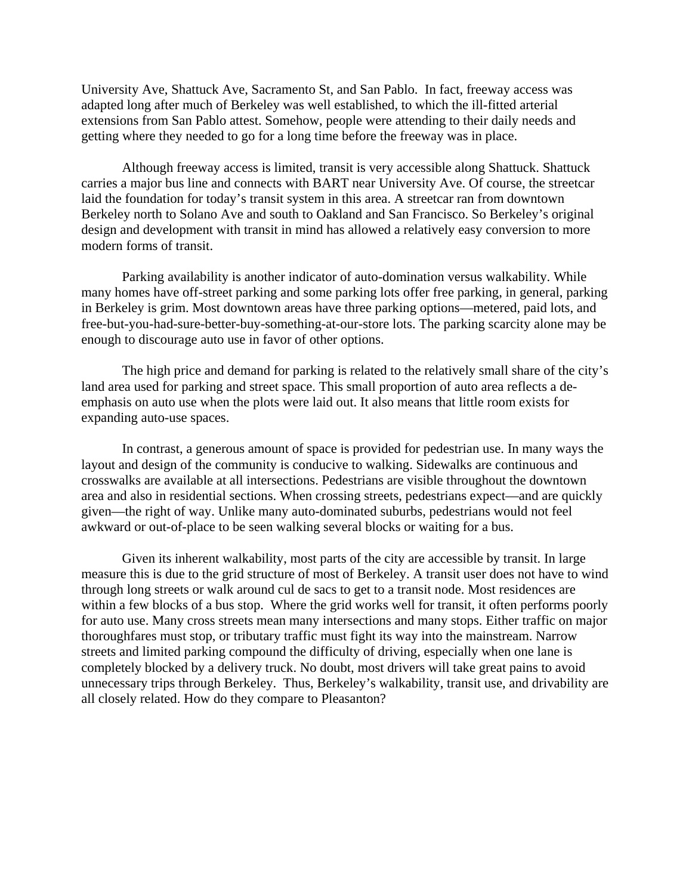University Ave, Shattuck Ave, Sacramento St, and San Pablo. In fact, freeway access was adapted long after much of Berkeley was well established, to which the ill-fitted arterial extensions from San Pablo attest. Somehow, people were attending to their daily needs and getting where they needed to go for a long time before the freeway was in place.

 Although freeway access is limited, transit is very accessible along Shattuck. Shattuck carries a major bus line and connects with BART near University Ave. Of course, the streetcar laid the foundation for today's transit system in this area. A streetcar ran from downtown Berkeley north to Solano Ave and south to Oakland and San Francisco. So Berkeley's original design and development with transit in mind has allowed a relatively easy conversion to more modern forms of transit.

 Parking availability is another indicator of auto-domination versus walkability. While many homes have off-street parking and some parking lots offer free parking, in general, parking in Berkeley is grim. Most downtown areas have three parking options—metered, paid lots, and free-but-you-had-sure-better-buy-something-at-our-store lots. The parking scarcity alone may be enough to discourage auto use in favor of other options.

 The high price and demand for parking is related to the relatively small share of the city's land area used for parking and street space. This small proportion of auto area reflects a deemphasis on auto use when the plots were laid out. It also means that little room exists for expanding auto-use spaces.

 In contrast, a generous amount of space is provided for pedestrian use. In many ways the layout and design of the community is conducive to walking. Sidewalks are continuous and crosswalks are available at all intersections. Pedestrians are visible throughout the downtown area and also in residential sections. When crossing streets, pedestrians expect—and are quickly given—the right of way. Unlike many auto-dominated suburbs, pedestrians would not feel awkward or out-of-place to be seen walking several blocks or waiting for a bus.

 Given its inherent walkability, most parts of the city are accessible by transit. In large measure this is due to the grid structure of most of Berkeley. A transit user does not have to wind through long streets or walk around cul de sacs to get to a transit node. Most residences are within a few blocks of a bus stop. Where the grid works well for transit, it often performs poorly for auto use. Many cross streets mean many intersections and many stops. Either traffic on major thoroughfares must stop, or tributary traffic must fight its way into the mainstream. Narrow streets and limited parking compound the difficulty of driving, especially when one lane is completely blocked by a delivery truck. No doubt, most drivers will take great pains to avoid unnecessary trips through Berkeley. Thus, Berkeley's walkability, transit use, and drivability are all closely related. How do they compare to Pleasanton?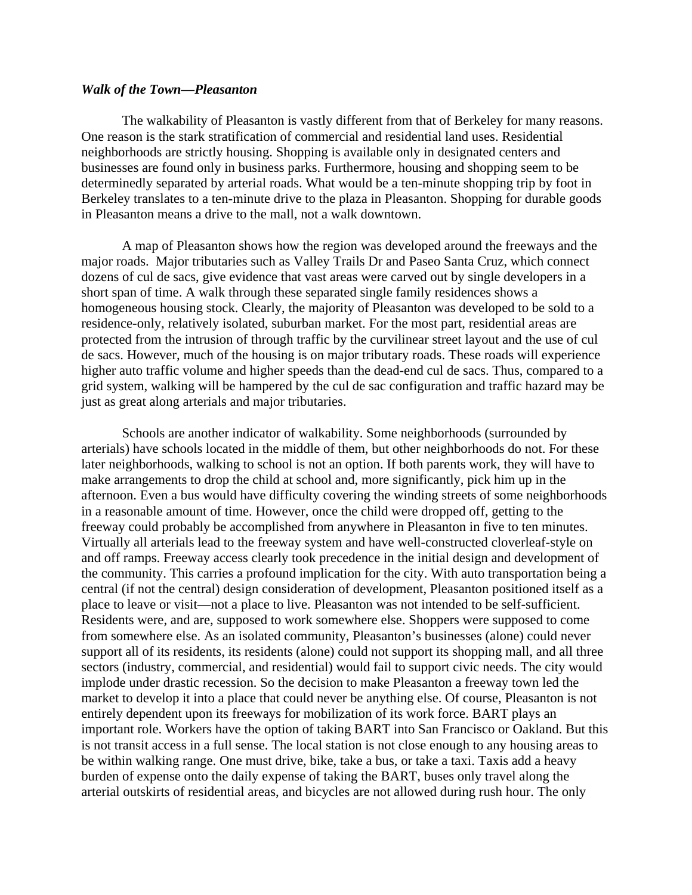#### *Walk of the Town—Pleasanton*

 The walkability of Pleasanton is vastly different from that of Berkeley for many reasons. One reason is the stark stratification of commercial and residential land uses. Residential neighborhoods are strictly housing. Shopping is available only in designated centers and businesses are found only in business parks. Furthermore, housing and shopping seem to be determinedly separated by arterial roads. What would be a ten-minute shopping trip by foot in Berkeley translates to a ten-minute drive to the plaza in Pleasanton. Shopping for durable goods in Pleasanton means a drive to the mall, not a walk downtown.

 A map of Pleasanton shows how the region was developed around the freeways and the major roads. Major tributaries such as Valley Trails Dr and Paseo Santa Cruz, which connect dozens of cul de sacs, give evidence that vast areas were carved out by single developers in a short span of time. A walk through these separated single family residences shows a homogeneous housing stock. Clearly, the majority of Pleasanton was developed to be sold to a residence-only, relatively isolated, suburban market. For the most part, residential areas are protected from the intrusion of through traffic by the curvilinear street layout and the use of cul de sacs. However, much of the housing is on major tributary roads. These roads will experience higher auto traffic volume and higher speeds than the dead-end cul de sacs. Thus, compared to a grid system, walking will be hampered by the cul de sac configuration and traffic hazard may be just as great along arterials and major tributaries.

 Schools are another indicator of walkability. Some neighborhoods (surrounded by arterials) have schools located in the middle of them, but other neighborhoods do not. For these later neighborhoods, walking to school is not an option. If both parents work, they will have to make arrangements to drop the child at school and, more significantly, pick him up in the afternoon. Even a bus would have difficulty covering the winding streets of some neighborhoods in a reasonable amount of time. However, once the child were dropped off, getting to the freeway could probably be accomplished from anywhere in Pleasanton in five to ten minutes. Virtually all arterials lead to the freeway system and have well-constructed cloverleaf-style on and off ramps. Freeway access clearly took precedence in the initial design and development of the community. This carries a profound implication for the city. With auto transportation being a central (if not the central) design consideration of development, Pleasanton positioned itself as a place to leave or visit—not a place to live. Pleasanton was not intended to be self-sufficient. Residents were, and are, supposed to work somewhere else. Shoppers were supposed to come from somewhere else. As an isolated community, Pleasanton's businesses (alone) could never support all of its residents, its residents (alone) could not support its shopping mall, and all three sectors (industry, commercial, and residential) would fail to support civic needs. The city would implode under drastic recession. So the decision to make Pleasanton a freeway town led the market to develop it into a place that could never be anything else. Of course, Pleasanton is not entirely dependent upon its freeways for mobilization of its work force. BART plays an important role. Workers have the option of taking BART into San Francisco or Oakland. But this is not transit access in a full sense. The local station is not close enough to any housing areas to be within walking range. One must drive, bike, take a bus, or take a taxi. Taxis add a heavy burden of expense onto the daily expense of taking the BART, buses only travel along the arterial outskirts of residential areas, and bicycles are not allowed during rush hour. The only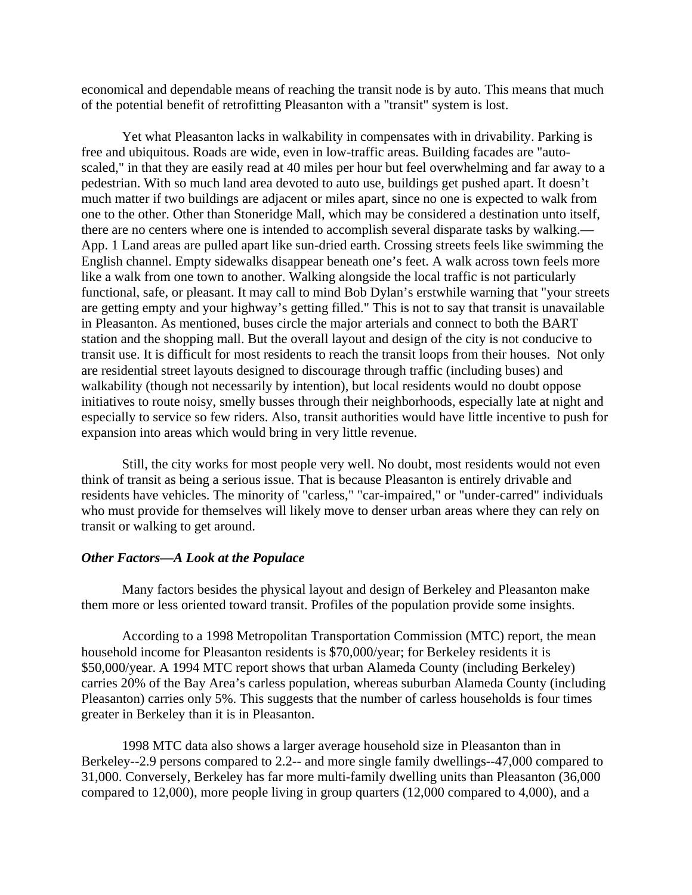economical and dependable means of reaching the transit node is by auto. This means that much of the potential benefit of retrofitting Pleasanton with a "transit" system is lost.

 Yet what Pleasanton lacks in walkability in compensates with in drivability. Parking is free and ubiquitous. Roads are wide, even in low-traffic areas. Building facades are "autoscaled," in that they are easily read at 40 miles per hour but feel overwhelming and far away to a pedestrian. With so much land area devoted to auto use, buildings get pushed apart. It doesn't much matter if two buildings are adjacent or miles apart, since no one is expected to walk from one to the other. Other than Stoneridge Mall, which may be considered a destination unto itself, there are no centers where one is intended to accomplish several disparate tasks by walking.— App. 1 Land areas are pulled apart like sun-dried earth. Crossing streets feels like swimming the English channel. Empty sidewalks disappear beneath one's feet. A walk across town feels more like a walk from one town to another. Walking alongside the local traffic is not particularly functional, safe, or pleasant. It may call to mind Bob Dylan's erstwhile warning that "your streets are getting empty and your highway's getting filled." This is not to say that transit is unavailable in Pleasanton. As mentioned, buses circle the major arterials and connect to both the BART station and the shopping mall. But the overall layout and design of the city is not conducive to transit use. It is difficult for most residents to reach the transit loops from their houses. Not only are residential street layouts designed to discourage through traffic (including buses) and walkability (though not necessarily by intention), but local residents would no doubt oppose initiatives to route noisy, smelly busses through their neighborhoods, especially late at night and especially to service so few riders. Also, transit authorities would have little incentive to push for expansion into areas which would bring in very little revenue.

 Still, the city works for most people very well. No doubt, most residents would not even think of transit as being a serious issue. That is because Pleasanton is entirely drivable and residents have vehicles. The minority of "carless," "car-impaired," or "under-carred" individuals who must provide for themselves will likely move to denser urban areas where they can rely on transit or walking to get around.

#### *Other Factors—A Look at the Populace*

 Many factors besides the physical layout and design of Berkeley and Pleasanton make them more or less oriented toward transit. Profiles of the population provide some insights.

 According to a 1998 Metropolitan Transportation Commission (MTC) report, the mean household income for Pleasanton residents is \$70,000/year; for Berkeley residents it is \$50,000/year. A 1994 MTC report shows that urban Alameda County (including Berkeley) carries 20% of the Bay Area's carless population, whereas suburban Alameda County (including Pleasanton) carries only 5%. This suggests that the number of carless households is four times greater in Berkeley than it is in Pleasanton.

 1998 MTC data also shows a larger average household size in Pleasanton than in Berkeley--2.9 persons compared to 2.2-- and more single family dwellings--47,000 compared to 31,000. Conversely, Berkeley has far more multi-family dwelling units than Pleasanton (36,000 compared to 12,000), more people living in group quarters (12,000 compared to 4,000), and a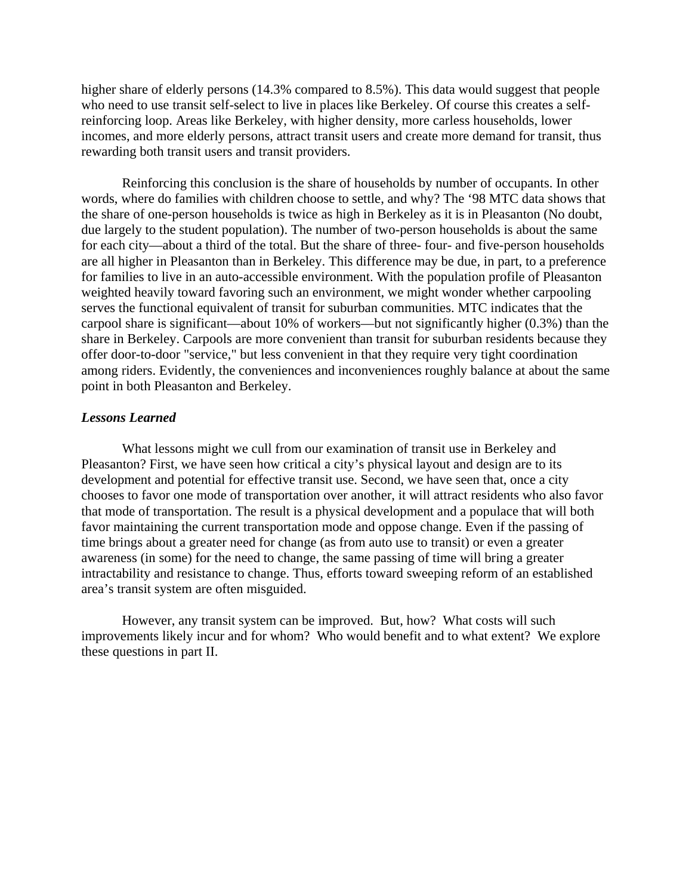higher share of elderly persons (14.3% compared to 8.5%). This data would suggest that people who need to use transit self-select to live in places like Berkeley. Of course this creates a selfreinforcing loop. Areas like Berkeley, with higher density, more carless households, lower incomes, and more elderly persons, attract transit users and create more demand for transit, thus rewarding both transit users and transit providers.

 Reinforcing this conclusion is the share of households by number of occupants. In other words, where do families with children choose to settle, and why? The '98 MTC data shows that the share of one-person households is twice as high in Berkeley as it is in Pleasanton (No doubt, due largely to the student population). The number of two-person households is about the same for each city—about a third of the total. But the share of three- four- and five-person households are all higher in Pleasanton than in Berkeley. This difference may be due, in part, to a preference for families to live in an auto-accessible environment. With the population profile of Pleasanton weighted heavily toward favoring such an environment, we might wonder whether carpooling serves the functional equivalent of transit for suburban communities. MTC indicates that the carpool share is significant—about 10% of workers—but not significantly higher (0.3%) than the share in Berkeley. Carpools are more convenient than transit for suburban residents because they offer door-to-door "service," but less convenient in that they require very tight coordination among riders. Evidently, the conveniences and inconveniences roughly balance at about the same point in both Pleasanton and Berkeley.

#### *Lessons Learned*

 What lessons might we cull from our examination of transit use in Berkeley and Pleasanton? First, we have seen how critical a city's physical layout and design are to its development and potential for effective transit use. Second, we have seen that, once a city chooses to favor one mode of transportation over another, it will attract residents who also favor that mode of transportation. The result is a physical development and a populace that will both favor maintaining the current transportation mode and oppose change. Even if the passing of time brings about a greater need for change (as from auto use to transit) or even a greater awareness (in some) for the need to change, the same passing of time will bring a greater intractability and resistance to change. Thus, efforts toward sweeping reform of an established area's transit system are often misguided.

 However, any transit system can be improved. But, how? What costs will such improvements likely incur and for whom? Who would benefit and to what extent? We explore these questions in part II.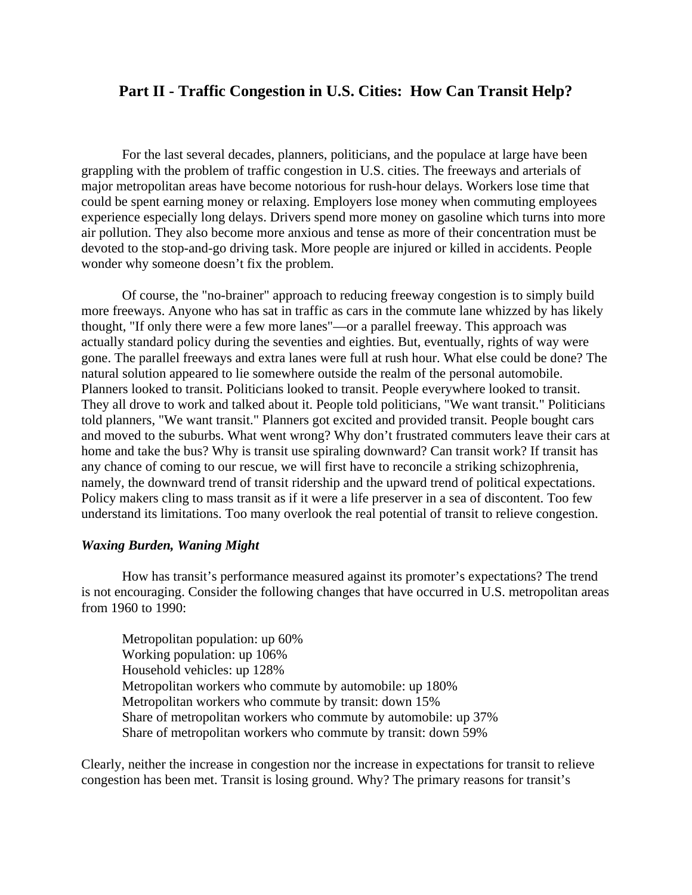# **Part II - Traffic Congestion in U.S. Cities: How Can Transit Help?**

 For the last several decades, planners, politicians, and the populace at large have been grappling with the problem of traffic congestion in U.S. cities. The freeways and arterials of major metropolitan areas have become notorious for rush-hour delays. Workers lose time that could be spent earning money or relaxing. Employers lose money when commuting employees experience especially long delays. Drivers spend more money on gasoline which turns into more air pollution. They also become more anxious and tense as more of their concentration must be devoted to the stop-and-go driving task. More people are injured or killed in accidents. People wonder why someone doesn't fix the problem.

 Of course, the "no-brainer" approach to reducing freeway congestion is to simply build more freeways. Anyone who has sat in traffic as cars in the commute lane whizzed by has likely thought, "If only there were a few more lanes"—or a parallel freeway. This approach was actually standard policy during the seventies and eighties. But, eventually, rights of way were gone. The parallel freeways and extra lanes were full at rush hour. What else could be done? The natural solution appeared to lie somewhere outside the realm of the personal automobile. Planners looked to transit. Politicians looked to transit. People everywhere looked to transit. They all drove to work and talked about it. People told politicians, "We want transit." Politicians told planners, "We want transit." Planners got excited and provided transit. People bought cars and moved to the suburbs. What went wrong? Why don't frustrated commuters leave their cars at home and take the bus? Why is transit use spiraling downward? Can transit work? If transit has any chance of coming to our rescue, we will first have to reconcile a striking schizophrenia, namely, the downward trend of transit ridership and the upward trend of political expectations. Policy makers cling to mass transit as if it were a life preserver in a sea of discontent. Too few understand its limitations. Too many overlook the real potential of transit to relieve congestion.

#### *Waxing Burden, Waning Might*

 How has transit's performance measured against its promoter's expectations? The trend is not encouraging. Consider the following changes that have occurred in U.S. metropolitan areas from 1960 to 1990:

Metropolitan population: up 60% Working population: up 106% Household vehicles: up 128% Metropolitan workers who commute by automobile: up 180% Metropolitan workers who commute by transit: down 15% Share of metropolitan workers who commute by automobile: up 37% Share of metropolitan workers who commute by transit: down 59%

Clearly, neither the increase in congestion nor the increase in expectations for transit to relieve congestion has been met. Transit is losing ground. Why? The primary reasons for transit's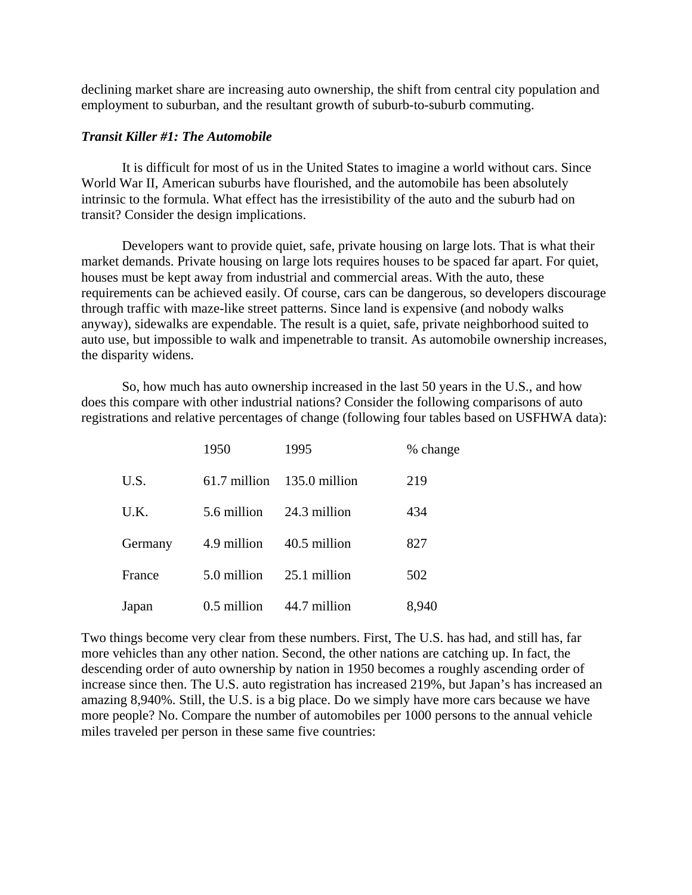declining market share are increasing auto ownership, the shift from central city population and employment to suburban, and the resultant growth of suburb-to-suburb commuting.

### *Transit Killer #1: The Automobile*

 It is difficult for most of us in the United States to imagine a world without cars. Since World War II, American suburbs have flourished, and the automobile has been absolutely intrinsic to the formula. What effect has the irresistibility of the auto and the suburb had on transit? Consider the design implications.

 Developers want to provide quiet, safe, private housing on large lots. That is what their market demands. Private housing on large lots requires houses to be spaced far apart. For quiet, houses must be kept away from industrial and commercial areas. With the auto, these requirements can be achieved easily. Of course, cars can be dangerous, so developers discourage through traffic with maze-like street patterns. Since land is expensive (and nobody walks anyway), sidewalks are expendable. The result is a quiet, safe, private neighborhood suited to auto use, but impossible to walk and impenetrable to transit. As automobile ownership increases, the disparity widens.

 So, how much has auto ownership increased in the last 50 years in the U.S., and how does this compare with other industrial nations? Consider the following comparisons of auto registrations and relative percentages of change (following four tables based on USFHWA data):

|         | 1950         | 1995          | % change |
|---------|--------------|---------------|----------|
| U.S.    | 61.7 million | 135.0 million | 219      |
| U.K.    | 5.6 million  | 24.3 million  | 434      |
| Germany | 4.9 million  | 40.5 million  | 827      |
| France  | 5.0 million  | 25.1 million  | 502      |
| Japan   | 0.5 million  | 44.7 million  | 8,940    |

Two things become very clear from these numbers. First, The U.S. has had, and still has, far more vehicles than any other nation. Second, the other nations are catching up. In fact, the descending order of auto ownership by nation in 1950 becomes a roughly ascending order of increase since then. The U.S. auto registration has increased 219%, but Japan's has increased an amazing 8,940%. Still, the U.S. is a big place. Do we simply have more cars because we have more people? No. Compare the number of automobiles per 1000 persons to the annual vehicle miles traveled per person in these same five countries: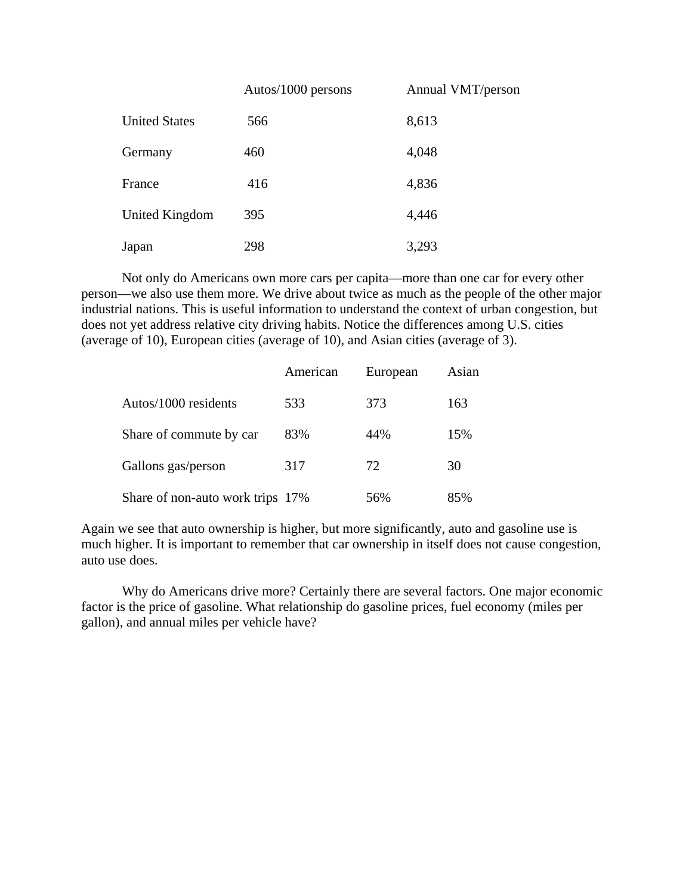|                      | Autos/1000 persons | Annual VMT/person |
|----------------------|--------------------|-------------------|
| <b>United States</b> | 566                | 8,613             |
| Germany              | 460                | 4,048             |
| France               | 416                | 4,836             |
| United Kingdom       | 395                | 4,446             |
| Japan                | 298                | 3,293             |

 Not only do Americans own more cars per capita—more than one car for every other person—we also use them more. We drive about twice as much as the people of the other major industrial nations. This is useful information to understand the context of urban congestion, but does not yet address relative city driving habits. Notice the differences among U.S. cities (average of 10), European cities (average of 10), and Asian cities (average of 3).

|                                  | American | European | Asian |
|----------------------------------|----------|----------|-------|
| Autos/1000 residents             | 533      | 373      | 163   |
| Share of commute by car          | 83%      | 44%      | 15%   |
| Gallons gas/person               | 317      | 72       | 30    |
| Share of non-auto work trips 17% |          | 56%      | 85%   |

Again we see that auto ownership is higher, but more significantly, auto and gasoline use is much higher. It is important to remember that car ownership in itself does not cause congestion, auto use does.

 Why do Americans drive more? Certainly there are several factors. One major economic factor is the price of gasoline. What relationship do gasoline prices, fuel economy (miles per gallon), and annual miles per vehicle have?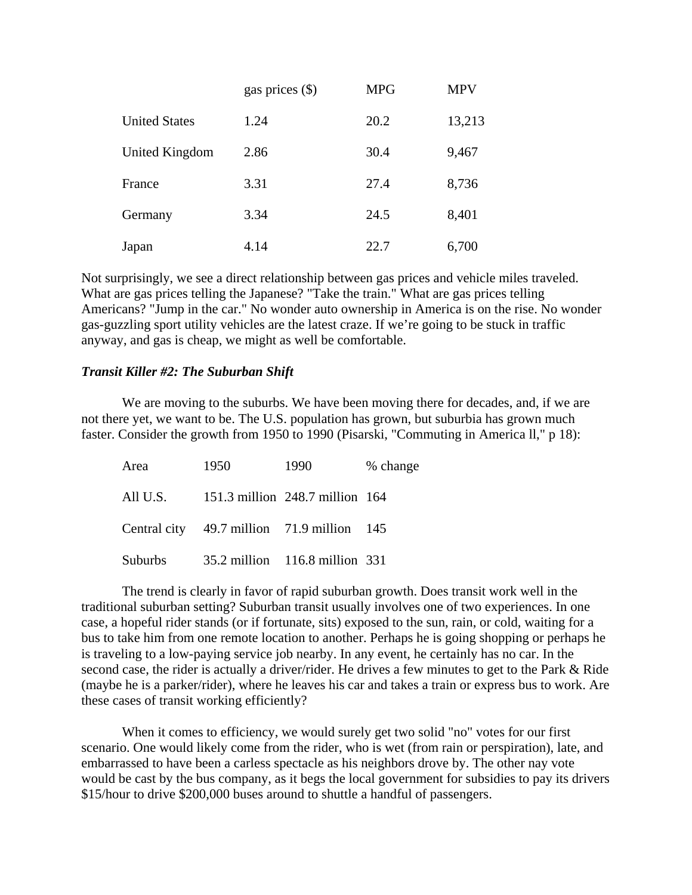|                      | gas prices $(\$)$ | <b>MPG</b> | <b>MPV</b> |
|----------------------|-------------------|------------|------------|
| <b>United States</b> | 1.24              | 20.2       | 13,213     |
| United Kingdom       | 2.86              | 30.4       | 9,467      |
| France               | 3.31              | 27.4       | 8,736      |
| Germany              | 3.34              | 24.5       | 8,401      |
| Japan                | 4.14              | 22.7       | 6,700      |

Not surprisingly, we see a direct relationship between gas prices and vehicle miles traveled. What are gas prices telling the Japanese? "Take the train." What are gas prices telling Americans? "Jump in the car." No wonder auto ownership in America is on the rise. No wonder gas-guzzling sport utility vehicles are the latest craze. If we're going to be stuck in traffic anyway, and gas is cheap, we might as well be comfortable.

### *Transit Killer #2: The Suburban Shift*

 We are moving to the suburbs. We have been moving there for decades, and, if we are not there yet, we want to be. The U.S. population has grown, but suburbia has grown much faster. Consider the growth from 1950 to 1990 (Pisarski, "Commuting in America ll," p 18):

| Area     | 1950                                       | 1990                            | % change |
|----------|--------------------------------------------|---------------------------------|----------|
| All U.S. |                                            | 151.3 million 248.7 million 164 |          |
|          | Central city 49.7 million 71.9 million 145 |                                 |          |
| Suburbs  |                                            | 35.2 million 116.8 million 331  |          |

 The trend is clearly in favor of rapid suburban growth. Does transit work well in the traditional suburban setting? Suburban transit usually involves one of two experiences. In one case, a hopeful rider stands (or if fortunate, sits) exposed to the sun, rain, or cold, waiting for a bus to take him from one remote location to another. Perhaps he is going shopping or perhaps he is traveling to a low-paying service job nearby. In any event, he certainly has no car. In the second case, the rider is actually a driver/rider. He drives a few minutes to get to the Park & Ride (maybe he is a parker/rider), where he leaves his car and takes a train or express bus to work. Are these cases of transit working efficiently?

 When it comes to efficiency, we would surely get two solid "no" votes for our first scenario. One would likely come from the rider, who is wet (from rain or perspiration), late, and embarrassed to have been a carless spectacle as his neighbors drove by. The other nay vote would be cast by the bus company, as it begs the local government for subsidies to pay its drivers \$15/hour to drive \$200,000 buses around to shuttle a handful of passengers.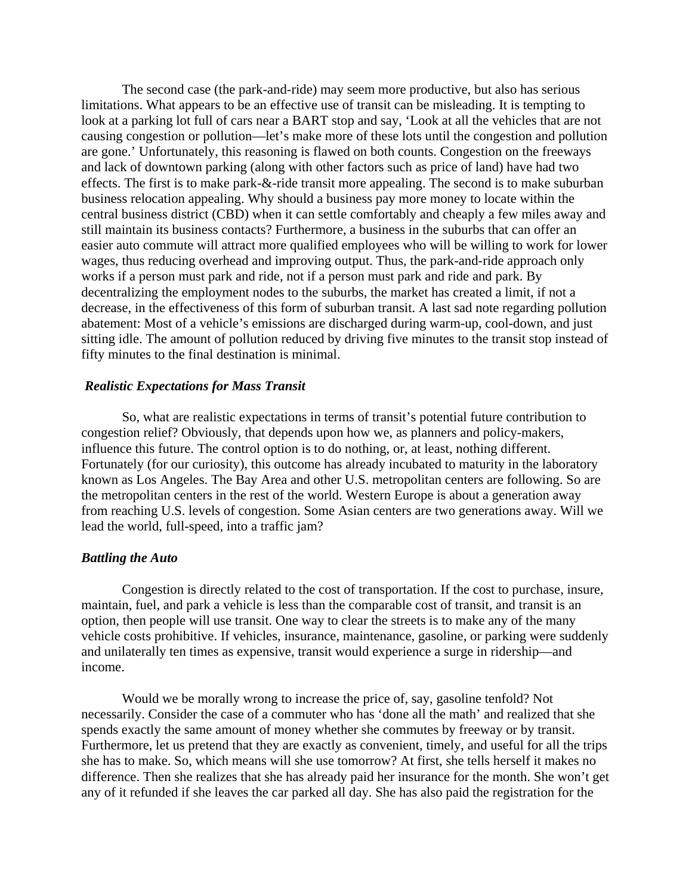The second case (the park-and-ride) may seem more productive, but also has serious limitations. What appears to be an effective use of transit can be misleading. It is tempting to look at a parking lot full of cars near a BART stop and say, 'Look at all the vehicles that are not causing congestion or pollution—let's make more of these lots until the congestion and pollution are gone.' Unfortunately, this reasoning is flawed on both counts. Congestion on the freeways and lack of downtown parking (along with other factors such as price of land) have had two effects. The first is to make park-&-ride transit more appealing. The second is to make suburban business relocation appealing. Why should a business pay more money to locate within the central business district (CBD) when it can settle comfortably and cheaply a few miles away and still maintain its business contacts? Furthermore, a business in the suburbs that can offer an easier auto commute will attract more qualified employees who will be willing to work for lower wages, thus reducing overhead and improving output. Thus, the park-and-ride approach only works if a person must park and ride, not if a person must park and ride and park. By decentralizing the employment nodes to the suburbs, the market has created a limit, if not a decrease, in the effectiveness of this form of suburban transit. A last sad note regarding pollution abatement: Most of a vehicle's emissions are discharged during warm-up, cool-down, and just sitting idle. The amount of pollution reduced by driving five minutes to the transit stop instead of fifty minutes to the final destination is minimal.

#### *Realistic Expectations for Mass Transit*

 So, what are realistic expectations in terms of transit's potential future contribution to congestion relief? Obviously, that depends upon how we, as planners and policy-makers, influence this future. The control option is to do nothing, or, at least, nothing different. Fortunately (for our curiosity), this outcome has already incubated to maturity in the laboratory known as Los Angeles. The Bay Area and other U.S. metropolitan centers are following. So are the metropolitan centers in the rest of the world. Western Europe is about a generation away from reaching U.S. levels of congestion. Some Asian centers are two generations away. Will we lead the world, full-speed, into a traffic jam?

# *Battling the Auto*

 Congestion is directly related to the cost of transportation. If the cost to purchase, insure, maintain, fuel, and park a vehicle is less than the comparable cost of transit, and transit is an option, then people will use transit. One way to clear the streets is to make any of the many vehicle costs prohibitive. If vehicles, insurance, maintenance, gasoline, or parking were suddenly and unilaterally ten times as expensive, transit would experience a surge in ridership—and income.

 Would we be morally wrong to increase the price of, say, gasoline tenfold? Not necessarily. Consider the case of a commuter who has 'done all the math' and realized that she spends exactly the same amount of money whether she commutes by freeway or by transit. Furthermore, let us pretend that they are exactly as convenient, timely, and useful for all the trips she has to make. So, which means will she use tomorrow? At first, she tells herself it makes no difference. Then she realizes that she has already paid her insurance for the month. She won't get any of it refunded if she leaves the car parked all day. She has also paid the registration for the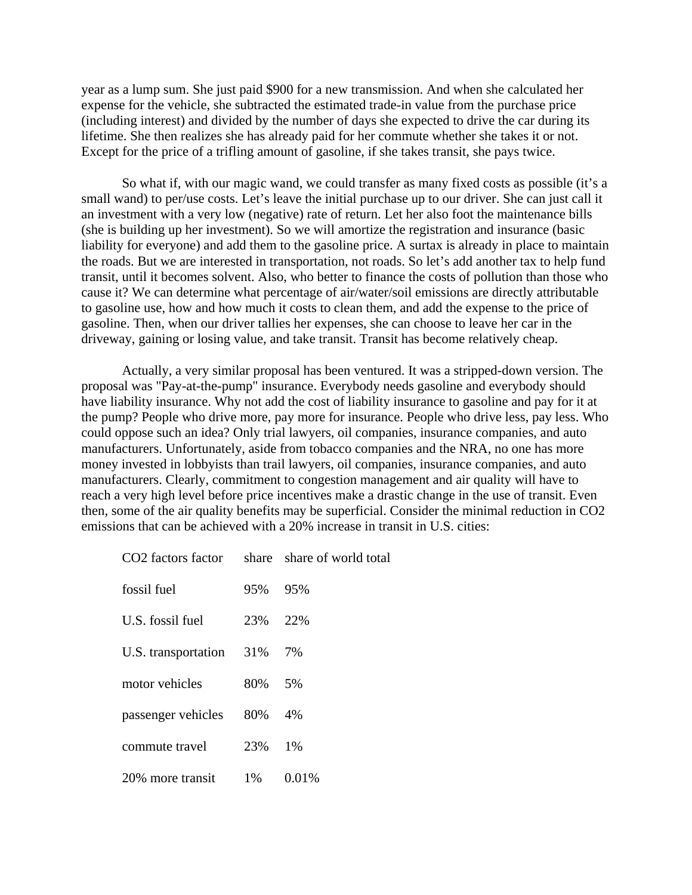year as a lump sum. She just paid \$900 for a new transmission. And when she calculated her expense for the vehicle, she subtracted the estimated trade-in value from the purchase price (including interest) and divided by the number of days she expected to drive the car during its lifetime. She then realizes she has already paid for her commute whether she takes it or not. Except for the price of a trifling amount of gasoline, if she takes transit, she pays twice.

 So what if, with our magic wand, we could transfer as many fixed costs as possible (it's a small wand) to per/use costs. Let's leave the initial purchase up to our driver. She can just call it an investment with a very low (negative) rate of return. Let her also foot the maintenance bills (she is building up her investment). So we will amortize the registration and insurance (basic liability for everyone) and add them to the gasoline price. A surtax is already in place to maintain the roads. But we are interested in transportation, not roads. So let's add another tax to help fund transit, until it becomes solvent. Also, who better to finance the costs of pollution than those who cause it? We can determine what percentage of air/water/soil emissions are directly attributable to gasoline use, how and how much it costs to clean them, and add the expense to the price of gasoline. Then, when our driver tallies her expenses, she can choose to leave her car in the driveway, gaining or losing value, and take transit. Transit has become relatively cheap.

 Actually, a very similar proposal has been ventured. It was a stripped-down version. The proposal was "Pay-at-the-pump" insurance. Everybody needs gasoline and everybody should have liability insurance. Why not add the cost of liability insurance to gasoline and pay for it at the pump? People who drive more, pay more for insurance. People who drive less, pay less. Who could oppose such an idea? Only trial lawyers, oil companies, insurance companies, and auto manufacturers. Unfortunately, aside from tobacco companies and the NRA, no one has more money invested in lobbyists than trail lawyers, oil companies, insurance companies, and auto manufacturers. Clearly, commitment to congestion management and air quality will have to reach a very high level before price incentives make a drastic change in the use of transit. Even then, some of the air quality benefits may be superficial. Consider the minimal reduction in CO2 emissions that can be achieved with a 20% increase in transit in U.S. cities:

| CO2 factors factor share share of world total |     |       |
|-----------------------------------------------|-----|-------|
| fossil fuel                                   | 95% | 95%   |
| U.S. fossil fuel                              | 23% | 22\%  |
| U.S. transportation                           | 31% | 7%    |
| motor vehicles                                | 80% | .5%   |
| passenger vehicles                            | 80% | 4%    |
| commute travel                                | 23% | $1\%$ |
| 20% more transit                              | 1%  | 0.01% |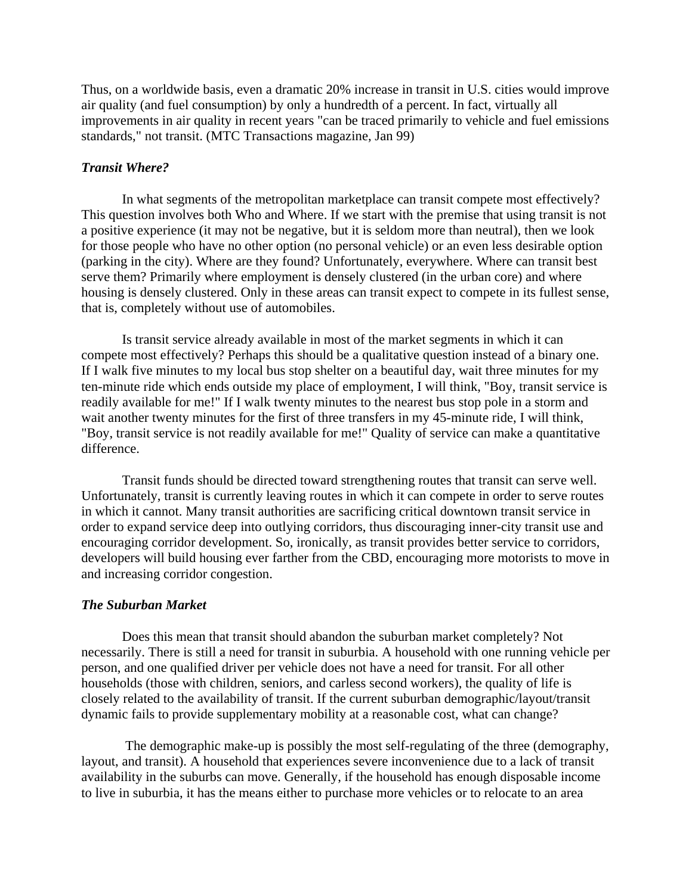Thus, on a worldwide basis, even a dramatic 20% increase in transit in U.S. cities would improve air quality (and fuel consumption) by only a hundredth of a percent. In fact, virtually all improvements in air quality in recent years "can be traced primarily to vehicle and fuel emissions standards," not transit. (MTC Transactions magazine, Jan 99)

# *Transit Where?*

 In what segments of the metropolitan marketplace can transit compete most effectively? This question involves both Who and Where. If we start with the premise that using transit is not a positive experience (it may not be negative, but it is seldom more than neutral), then we look for those people who have no other option (no personal vehicle) or an even less desirable option (parking in the city). Where are they found? Unfortunately, everywhere. Where can transit best serve them? Primarily where employment is densely clustered (in the urban core) and where housing is densely clustered. Only in these areas can transit expect to compete in its fullest sense, that is, completely without use of automobiles.

 Is transit service already available in most of the market segments in which it can compete most effectively? Perhaps this should be a qualitative question instead of a binary one. If I walk five minutes to my local bus stop shelter on a beautiful day, wait three minutes for my ten-minute ride which ends outside my place of employment, I will think, "Boy, transit service is readily available for me!" If I walk twenty minutes to the nearest bus stop pole in a storm and wait another twenty minutes for the first of three transfers in my 45-minute ride, I will think, "Boy, transit service is not readily available for me!" Quality of service can make a quantitative difference.

 Transit funds should be directed toward strengthening routes that transit can serve well. Unfortunately, transit is currently leaving routes in which it can compete in order to serve routes in which it cannot. Many transit authorities are sacrificing critical downtown transit service in order to expand service deep into outlying corridors, thus discouraging inner-city transit use and encouraging corridor development. So, ironically, as transit provides better service to corridors, developers will build housing ever farther from the CBD, encouraging more motorists to move in and increasing corridor congestion.

#### *The Suburban Market*

 Does this mean that transit should abandon the suburban market completely? Not necessarily. There is still a need for transit in suburbia. A household with one running vehicle per person, and one qualified driver per vehicle does not have a need for transit. For all other households (those with children, seniors, and carless second workers), the quality of life is closely related to the availability of transit. If the current suburban demographic/layout/transit dynamic fails to provide supplementary mobility at a reasonable cost, what can change?

 The demographic make-up is possibly the most self-regulating of the three (demography, layout, and transit). A household that experiences severe inconvenience due to a lack of transit availability in the suburbs can move. Generally, if the household has enough disposable income to live in suburbia, it has the means either to purchase more vehicles or to relocate to an area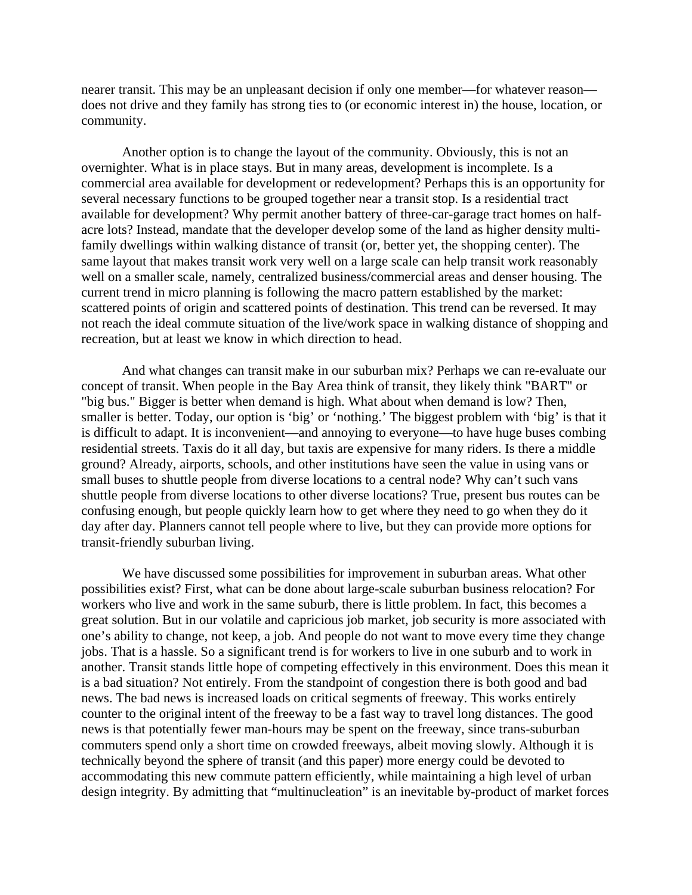nearer transit. This may be an unpleasant decision if only one member—for whatever reason does not drive and they family has strong ties to (or economic interest in) the house, location, or community.

 Another option is to change the layout of the community. Obviously, this is not an overnighter. What is in place stays. But in many areas, development is incomplete. Is a commercial area available for development or redevelopment? Perhaps this is an opportunity for several necessary functions to be grouped together near a transit stop. Is a residential tract available for development? Why permit another battery of three-car-garage tract homes on halfacre lots? Instead, mandate that the developer develop some of the land as higher density multifamily dwellings within walking distance of transit (or, better yet, the shopping center). The same layout that makes transit work very well on a large scale can help transit work reasonably well on a smaller scale, namely, centralized business/commercial areas and denser housing. The current trend in micro planning is following the macro pattern established by the market: scattered points of origin and scattered points of destination. This trend can be reversed. It may not reach the ideal commute situation of the live/work space in walking distance of shopping and recreation, but at least we know in which direction to head.

 And what changes can transit make in our suburban mix? Perhaps we can re-evaluate our concept of transit. When people in the Bay Area think of transit, they likely think "BART" or "big bus." Bigger is better when demand is high. What about when demand is low? Then, smaller is better. Today, our option is 'big' or 'nothing.' The biggest problem with 'big' is that it is difficult to adapt. It is inconvenient—and annoying to everyone—to have huge buses combing residential streets. Taxis do it all day, but taxis are expensive for many riders. Is there a middle ground? Already, airports, schools, and other institutions have seen the value in using vans or small buses to shuttle people from diverse locations to a central node? Why can't such vans shuttle people from diverse locations to other diverse locations? True, present bus routes can be confusing enough, but people quickly learn how to get where they need to go when they do it day after day. Planners cannot tell people where to live, but they can provide more options for transit-friendly suburban living.

 We have discussed some possibilities for improvement in suburban areas. What other possibilities exist? First, what can be done about large-scale suburban business relocation? For workers who live and work in the same suburb, there is little problem. In fact, this becomes a great solution. But in our volatile and capricious job market, job security is more associated with one's ability to change, not keep, a job. And people do not want to move every time they change jobs. That is a hassle. So a significant trend is for workers to live in one suburb and to work in another. Transit stands little hope of competing effectively in this environment. Does this mean it is a bad situation? Not entirely. From the standpoint of congestion there is both good and bad news. The bad news is increased loads on critical segments of freeway. This works entirely counter to the original intent of the freeway to be a fast way to travel long distances. The good news is that potentially fewer man-hours may be spent on the freeway, since trans-suburban commuters spend only a short time on crowded freeways, albeit moving slowly. Although it is technically beyond the sphere of transit (and this paper) more energy could be devoted to accommodating this new commute pattern efficiently, while maintaining a high level of urban design integrity. By admitting that "multinucleation" is an inevitable by-product of market forces